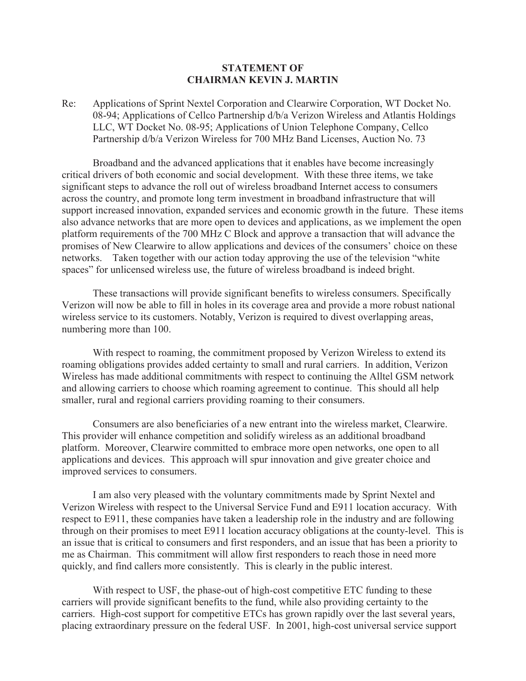## **STATEMENT OF CHAIRMAN KEVIN J. MARTIN**

Re: Applications of Sprint Nextel Corporation and Clearwire Corporation, WT Docket No. 08-94; Applications of Cellco Partnership d/b/a Verizon Wireless and Atlantis Holdings LLC, WT Docket No. 08-95; Applications of Union Telephone Company, Cellco Partnership d/b/a Verizon Wireless for 700 MHz Band Licenses, Auction No. 73

Broadband and the advanced applications that it enables have become increasingly critical drivers of both economic and social development. With these three items, we take significant steps to advance the roll out of wireless broadband Internet access to consumers across the country, and promote long term investment in broadband infrastructure that will support increased innovation, expanded services and economic growth in the future. These items also advance networks that are more open to devices and applications, as we implement the open platform requirements of the 700 MHz C Block and approve a transaction that will advance the promises of New Clearwire to allow applications and devices of the consumers' choice on these networks. Taken together with our action today approving the use of the television "white spaces" for unlicensed wireless use, the future of wireless broadband is indeed bright.

These transactions will provide significant benefits to wireless consumers. Specifically Verizon will now be able to fill in holes in its coverage area and provide a more robust national wireless service to its customers. Notably, Verizon is required to divest overlapping areas, numbering more than 100.

With respect to roaming, the commitment proposed by Verizon Wireless to extend its roaming obligations provides added certainty to small and rural carriers. In addition, Verizon Wireless has made additional commitments with respect to continuing the Alltel GSM network and allowing carriers to choose which roaming agreement to continue. This should all help smaller, rural and regional carriers providing roaming to their consumers.

Consumers are also beneficiaries of a new entrant into the wireless market, Clearwire. This provider will enhance competition and solidify wireless as an additional broadband platform. Moreover, Clearwire committed to embrace more open networks, one open to all applications and devices. This approach will spur innovation and give greater choice and improved services to consumers.

I am also very pleased with the voluntary commitments made by Sprint Nextel and Verizon Wireless with respect to the Universal Service Fund and E911 location accuracy. With respect to E911, these companies have taken a leadership role in the industry and are following through on their promises to meet E911 location accuracy obligations at the county-level. This is an issue that is critical to consumers and first responders, and an issue that has been a priority to me as Chairman. This commitment will allow first responders to reach those in need more quickly, and find callers more consistently. This is clearly in the public interest.

With respect to USF, the phase-out of high-cost competitive ETC funding to these carriers will provide significant benefits to the fund, while also providing certainty to the carriers. High-cost support for competitive ETCs has grown rapidly over the last several years, placing extraordinary pressure on the federal USF. In 2001, high-cost universal service support